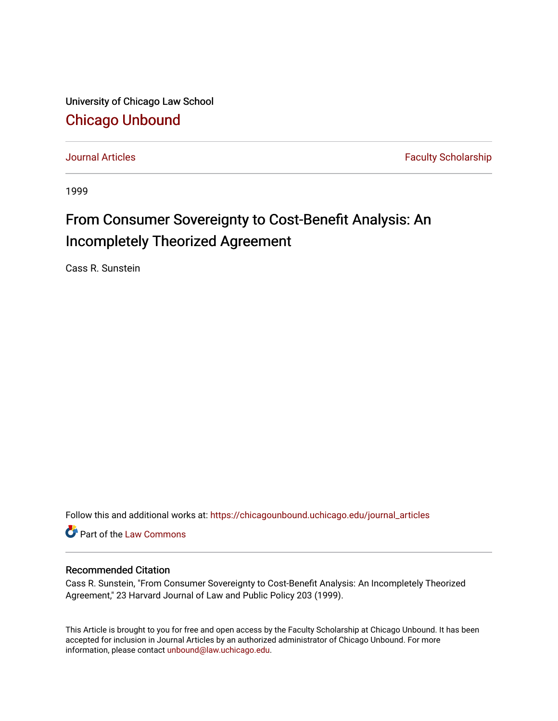University of Chicago Law School [Chicago Unbound](https://chicagounbound.uchicago.edu/)

[Journal Articles](https://chicagounbound.uchicago.edu/journal_articles) **Faculty Scholarship Journal Articles** 

1999

# From Consumer Sovereignty to Cost-Benefit Analysis: An Incompletely Theorized Agreement

Cass R. Sunstein

Follow this and additional works at: [https://chicagounbound.uchicago.edu/journal\\_articles](https://chicagounbound.uchicago.edu/journal_articles?utm_source=chicagounbound.uchicago.edu%2Fjournal_articles%2F8381&utm_medium=PDF&utm_campaign=PDFCoverPages) 

Part of the [Law Commons](http://network.bepress.com/hgg/discipline/578?utm_source=chicagounbound.uchicago.edu%2Fjournal_articles%2F8381&utm_medium=PDF&utm_campaign=PDFCoverPages)

### Recommended Citation

Cass R. Sunstein, "From Consumer Sovereignty to Cost-Benefit Analysis: An Incompletely Theorized Agreement," 23 Harvard Journal of Law and Public Policy 203 (1999).

This Article is brought to you for free and open access by the Faculty Scholarship at Chicago Unbound. It has been accepted for inclusion in Journal Articles by an authorized administrator of Chicago Unbound. For more information, please contact [unbound@law.uchicago.edu](mailto:unbound@law.uchicago.edu).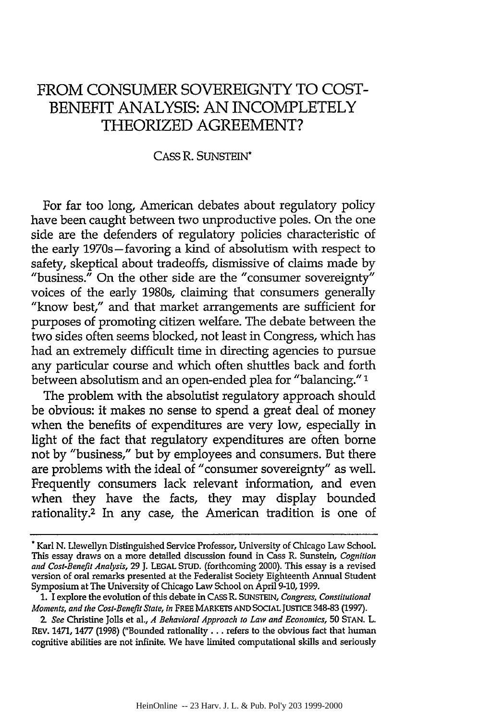# FROM CONSUMER SOVEREIGNTY TO COST-BENEFIT ANALYSIS: AN INCOMPLETELY **THEORIZED AGREEMENT?**

#### CASS R. SUNSTEIN\*

For far too long, American debates about regulatory policy have been caught between two unproductive poles. On the one side are the defenders of regulatory policies characteristic of the early 1970s-favoring a kind of absolutism with respect to safety, skeptical about tradeoffs, dismissive of claims made by "business." On the other side are the "consumer sovereignty" voices of the early 1980s, claiming that consumers generally "know best," and that market arrangements are sufficient for purposes of promoting citizen welfare. The debate between the two sides often seems blocked, not least in Congress, which has had an extremely difficult time in directing agencies to pursue any particular course and which often shuttles back and forth between absolutism and an open-ended plea for "balancing."'

The problem with the absolutist regulatory approach should be obvious: it makes no sense to spend a great deal of money when the benefits of expenditures are very low, especially in light of the fact that regulatory expenditures are often borne not by "business," but by employees and consumers. But there are problems with the ideal of "consumer sovereignty" as well. Frequently consumers lack relevant information, and even when they have the facts, they may display bounded rationality.<sup>2</sup> In any case, the American tradition is one of

<sup>&</sup>quot;Karl N. Llewellyn Distinguished Service Professor, University of Chicago Law School. This essay draws on a more detailed discussion found in Cass R. Sunstein, *Cognition and Cost-Benefit Analysis, 29* **J. LEGAL STUD.** (forthcoming 2000). This essay is a revised version of oral remarks presented at the Federalist Society Eighteenth Annual Student Symposium at The University of Chicago Law School on April **9-10,1999.**

**<sup>1.</sup>** I explore the evolution of this debate in **CASS** R. **SUNSTEIN,** *Congress, Constitutional Moments, and the Cost-Benefit State, in* FREE MARKETS **AND SOCIAL JUSTICE** 348-83 **(1997).**

**<sup>2.</sup>** *See* Christine **Jolls** et al., *A Behavioral Approach to Law and Economics,* **50 STAN.** L. REV. 1471, **1477 (1998)** ("Bounded rationality **...** refers to the obvious fact that human cognitive abilities are not infinite. We have **limited** computational skills and seriously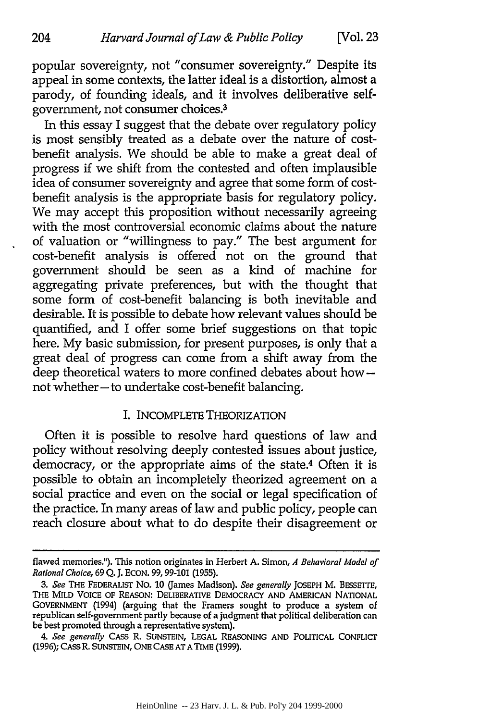popular sovereignty, not "consumer sovereignty." Despite its appeal in some contexts, the latter ideal is a distortion, almost a parody, of founding ideals, and it involves deliberative selfgovernment, not consumer choices.3

204

In this essay I suggest that the debate over regulatory policy is most sensibly treated as a debate over the nature of costbenefit analysis. We should be able to make a great deal of progress if we shift from the contested and often implausible idea of consumer sovereignty and agree that some form of costbenefit analysis is the appropriate basis for regulatory policy. We may accept this proposition without necessarily agreeing with the most controversial economic claims about the nature of valuation or "willingness to pay." The best argument for cost-benefit analysis is offered not on the ground that government should be seen as a kind of machine for aggregating private preferences, but with the thought that some form of cost-benefit balancing is both inevitable and desirable. It is possible to debate how relevant values should be quantified, and I offer some brief suggestions on that topic here. My basic submission, for present purposes, is only that a great deal of progress can come from a shift away from the deep theoretical waters to more confined debates about hownot whether-to undertake cost-benefit balancing.

#### I. INCOMPLETE THEORIZATION

Often it is possible to resolve hard questions of law and policy without resolving deeply contested issues about justice, democracy, or the appropriate aims of the state.<sup>4</sup> Often it is possible to obtain an incompletely theorized agreement on a social practice and even on the social or legal specification of the practice. In many areas of law and public policy, people can reach closure about what to do despite their disagreement or

flawed memories."). This notion originates in Herbert A. Simon, *A Behavioral Model of Rational Choice,* 69 Q. J. **ECON. 99, 99-101 (1955).**

*<sup>3.</sup> See* **THE** FEDERALIST **No. 10 Games Madison).** *See generally* **JOSEPH M. BESSETIE, THE** MILD VOICE **OF REASON:** DELIBERATIVE **DEMOCRACY AND AMERICAN NATIONAL GOVERNMENT (1994)** (arguing **that the** Framers sought **to** produce a system **of** republican self-government partly because **of** a judgment that political deliberation **can** be best promoted through a representative system).

<sup>4.</sup> *See generally* **CASS** R. **SUNSTEIN, LEGAL REASONING AND** POLITICAL CONFLICT **(1996); CASS** R. **SUNSTEIN, ONE CASE AT A** TIME **(1999).**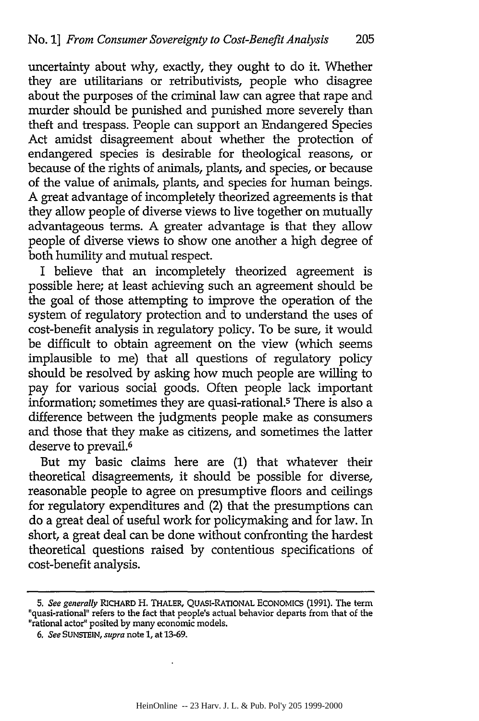uncertainty about why, exactly, they ought to do it. Whether they are utilitarians or retributivists, people who disagree about the purposes of the criminal law can agree that rape and murder should be punished and punished more severely than theft and trespass. People can support an Endangered Species Act amidst disagreement about whether the protection of endangered species is desirable for theological reasons, or because of the rights of animals, plants, and species, or because of the value of animals, plants, and species for human beings. A great advantage of incompletely theorized agreements is that they allow people of diverse views to live together on mutually advantageous terms. A greater advantage is that they allow people of diverse views to show one another a high degree of both humility and mutual respect.

I believe that an incompletely theorized agreement is possible here; at least achieving such an agreement should be the goal of those attempting to improve the operation of the system of regulatory protection and to understand the uses of cost-benefit analysis in regulatory policy. To be sure, it would be difficult to obtain agreement on the view (which seems implausible to me) that all questions of regulatory policy should be resolved by asking how much people are willing to pay for various social goods. Often people lack important information; sometimes they are quasi-rational.5 There is also a difference between the judgments people make as consumers and those that they make as citizens, and sometimes the latter deserve to prevail.<sup>6</sup>

But my basic claims here are (1) that whatever their theoretical disagreements, it should be possible for diverse, reasonable people to agree on presumptive floors and ceilings for regulatory expenditures and (2) that the presumptions can do a great deal of useful work for policymaking and for law. In short, a great deal can be done without confronting the hardest theoretical questions raised by contentious specifications of cost-benefit analysis.

*<sup>5.</sup> See generally* RICHARD H. THALER, **QUASI-RATIONAL ECONOMICS** (1991). The term "quasi-rational" refers to the fact that people's actual behavior departs from that of the "rational actor" posited by many economic models.

*<sup>6.</sup> See* **SUNSTEIN,** *supra* note 1, at 13-69.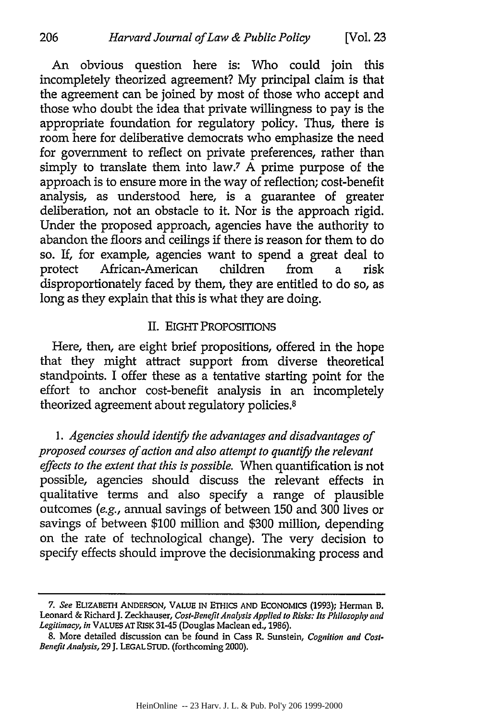An obvious question here is: Who could join this incompletely theorized agreement? My principal claim is that the agreement can be joined by most of those who accept and those who doubt the idea that private willingness to pay is the appropriate foundation for regulatory policy. Thus, there is room here for deliberative democrats who emphasize the need for government to reflect on private preferences, rather than simply to translate them into law.<sup>7</sup>  $\hat{A}$  prime purpose of the approach is to ensure more in the way of reflection; cost-benefit analysis, as understood here, is a guarantee of greater deliberation, not an obstacle to it. Nor is the approach rigid. Under the proposed approach, agencies have the authority to abandon the floors and ceilings if there is reason for them to do so. If, for example, agencies want to spend a great deal to protect African-American children from a risk disproportionately faced by them, they are entitled to do so, as long as they explain that this is what they are doing.

#### II. EIGHT PROPOSITIONS

Here, then, are eight brief propositions, offered in the hope that they might attract support from diverse theoretical standpoints. I offer these as a tentative starting point for the effort to anchor cost-benefit analysis in an incompletely theorized agreement about regulatory policies.<sup>8</sup>

*1. Agencies should identify the advantages and disadvantages of proposed courses of action and also attempt to quantify the relevant effects to the extent that this is possible.* When quantification is not possible, agencies should discuss the relevant effects in qualitative terms and also specify a range of plausible outcomes *(e.g.,* annual savings of between 150 and 300 lives or savings of between \$100 million and \$300 million, depending on the rate of technological change). The very decision to specify effects should improve the decisionmaking process and

**<sup>7.</sup>** *See* ELIZABETH **ANDERSON, VALUE IN ETHICS AND ECONOMICS (1993);** Herman B. Leonard **&** Richard **J.** Zeckhauser, *Cost-Benefit Analysis Applied to Risks: Its Philosophy and Legitimacy, in* VALUES AT RISK 3145 (Douglas Maclean ed., 1986).

<sup>8.</sup> More detailed discussion can be found in Cass R. Sunstein, *Cognition and Cost-Benefit Analysis,* 29 J. **LEGAL** STUD. (forthcoming 2000).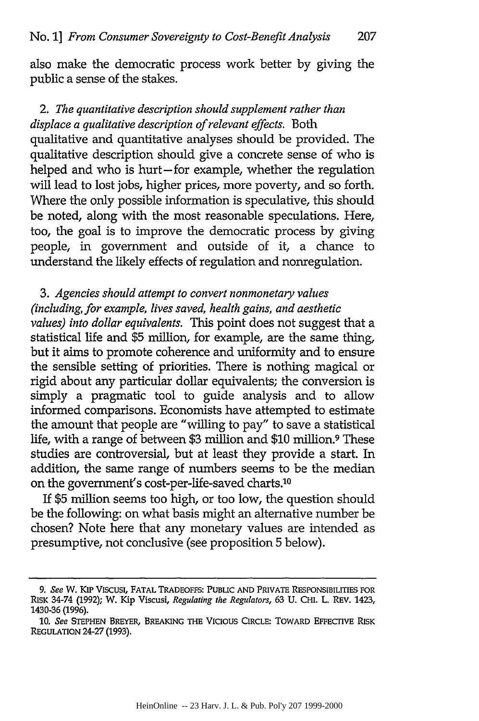also make the democratic process work better by giving the public a sense of the stakes.

# *2. The quantitative description should supplement rather than displace a qualitative description of relevant effects.* Both

qualitative and quantitative analyses should be provided. The qualitative description should give a concrete sense of who is helped and who is hurt-for example, whether the regulation will lead to lost jobs, higher prices, more poverty, and so forth. Where the only possible information is speculative, this should be noted, along with the most reasonable speculations. Here, too, the goal is to improve the democratic process by giving people, in government and outside of it, a chance to understand the likely effects of regulation and nonregulation.

# *3. Agencies should attempt to convert nonmonetary values (including, for example, lives saved, health gains, and aesthetic*

*values) into dollar equivalents.* This point does not suggest that a statistical life and \$5 million, for example, are the same thing, but it aims to promote coherence and uniformity and to ensure the sensible setting of priorities. There is nothing magical or rigid about any particular dollar equivalents; the conversion is simply a pragmatic tool to guide analysis and to allow informed comparisons. Economists have attempted to estimate the amount that people are "willing to pay" to save a statistical life, with a range of between \$3 million and \$10 million.9 These studies are controversial, but at least they provide a start. In addition, the same range of numbers seems to be the median on the government's cost-per-life-saved charts.<sup>10</sup>

If \$5 million seems too high, or too low, the question should be the following: on what basis might an alternative number be chosen? Note here that any monetary values are intended as presumptive, not conclusive (see proposition 5 below).

*<sup>9.</sup> See* **W.** KIP Viscusi, **FATAL** TRADEOFFS: **PUBLIC AND** PRIVATE RESPONSIBILITIES FOR RISK 34-74 **(1992);** W. Kip Viscusi, *Regulating the Regulators,* **63 U.** CHI. L. REV. 1423, 1430-36 **(1996).**

**<sup>10.</sup>** *See* **STEPHEN** BREYER, BREAKING THE Vicious CIRcLE: TOWARD EFFECTIVE RISK **REGULATION 24-27 (1993).**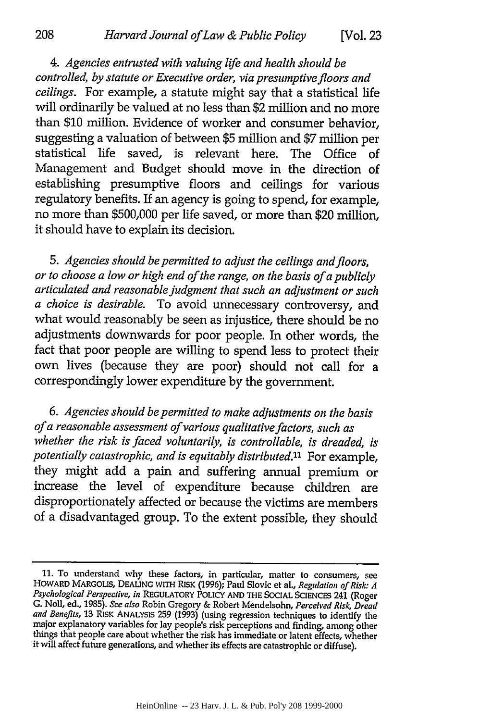*4. Agencies entrusted with valuing life and health should be controlled, by statute or Executive order, via presumptive floors and ceilings.* For example, a statute might say that a statistical life will ordinarily be valued at no less than \$2 million and no more than **\$10** million. Evidence of worker and consumer behavior, suggesting a valuation of between \$5 million and \$7 million per statistical life saved, is relevant here. The Office of Management and Budget should move in the direction of establishing presumptive floors and ceilings for various regulatory benefits. If an agency is going to spend, for example, no more than \$500,000 per life saved, or more than \$20 million, it should have to explain its decision.

*5. Agencies should be permitted to adjust the ceilings and floors, or to choose a low or high end of the range, on the basis of a publicly articulated and reasonable judgment that such an adjustment or such a choice is desirable.* To avoid unnecessary controversy, and what would reasonably be seen as injustice, there should be no adjustments downwards for poor people. In other words, the fact that poor people are willing to spend less to protect their own lives (because they are poor) should not call for a correspondingly lower expenditure by the government.

*6. Agencies should be permitted to make adjustments on the basis of a reasonable assessment of various qualitative factors, such as whether the risk is faced voluntarily, is controllable, is dreaded, is potentially catastrophic, and is equitably distributed."* For example, they might add a pain and suffering annual premium or increase the level of expenditure because children are disproportionately affected or because the victims are members of a disadvantaged group. To the extent possible, they should

**<sup>11.</sup>** To understand why these factors, in particular, matter to consumers, see HOWARD MARGOLIS, DEALING wITH RISK (1996); Paul Slovic et al., *Regulation of Risk: A Psychological Perspective, in* REGULATORY POLICY AND **ThE** SOCIAL SCIENCES 241 (Roger G. Noll, ed., 1985). *See also* Robin Gregory & Robert Mendelsohn, *Perceived Risk, Dread and Benefits,* 13 RISK ANALYSIS 259 **(1993)** (using regression techniques to identify the major explanatory variables for lay people's risk perceptions and finding, among other things that people care about whether the risk has immediate or latent effects, whether it will affect future generations, and whether its effects are catastrophic or diffuse).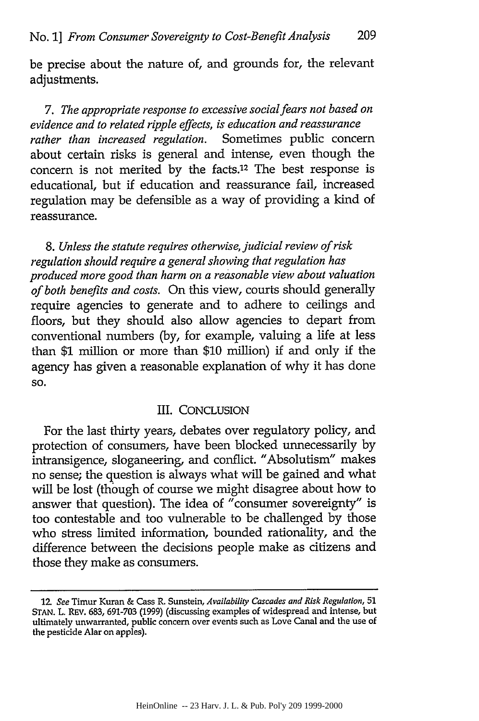be precise about the nature of, and grounds for, the relevant adjustments.

*7. The appropriate response to excessive socialfears not based on evidence and to related ripple effects, is education and reassurance rather than increased regulation.* Sometimes public concern about certain risks is general and intense, even though the concern is not merited by the facts.12 The best response is educational, but if education and reassurance fail, increased regulation may be defensible as a way of providing a kind of reassurance.

*8. Unless the statute requires otherwise, judicial review of risk regulation should require a general showing that regulation has produced more good than harm on a reasonable view about valuation of both benefits and costs.* On this view, courts should generally require agencies to generate and to adhere to ceilings and floors, but they should also allow agencies to depart from conventional numbers (by, for example, valuing a life at less than \$1 million or more than \$10 million) if and only if the agency has given a reasonable explanation of why it has done **SO.**

#### III. CONCLUSION

For the last thirty years, debates over regulatory policy, and protection of consumers, have been blocked unnecessarily by intransigence, sloganeering, and conflict. "Absolutism" makes no sense; the question is always what will be gained and what will be lost (though of course we might disagree about how to answer that question). The idea of "consumer sovereignty" is too contestable and too vulnerable to be challenged by those who stress limited information, bounded rationality, and the difference between the decisions people make as citizens and those they make as consumers.

<sup>1</sup>M *See* Timur Kuran & Cass R. Sunstein, *Availability Cascades and Risk Regulation,* 51 **STAN.** L. REV. 683, 691-703 (1999) (discussing examples of widespread and intense, but ultimately unwarranted, public concern over events such as Love Canal and the use of the pesticide Alar on apples).